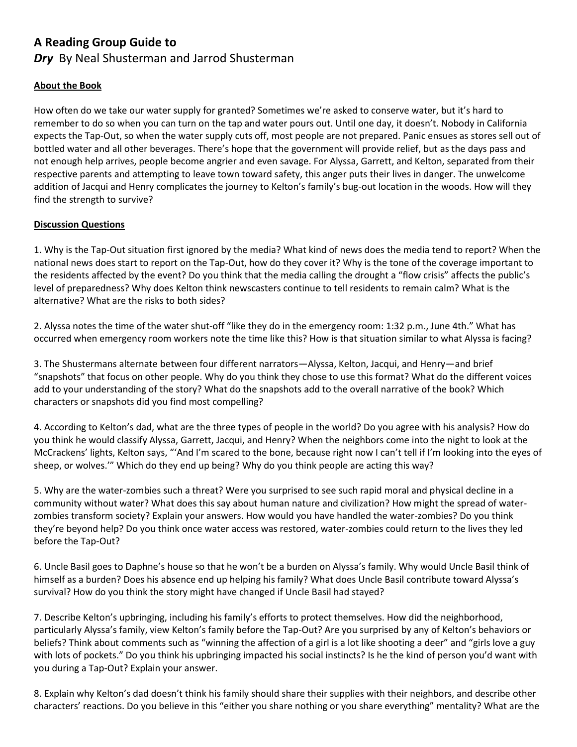# **A Reading Group Guide to**

## *Dry* By Neal Shusterman and Jarrod Shusterman

### **About the Book**

How often do we take our water supply for granted? Sometimes we're asked to conserve water, but it's hard to remember to do so when you can turn on the tap and water pours out. Until one day, it doesn't. Nobody in California expects the Tap-Out, so when the water supply cuts off, most people are not prepared. Panic ensues as stores sell out of bottled water and all other beverages. There's hope that the government will provide relief, but as the days pass and not enough help arrives, people become angrier and even savage. For Alyssa, Garrett, and Kelton, separated from their respective parents and attempting to leave town toward safety, this anger puts their lives in danger. The unwelcome addition of Jacqui and Henry complicates the journey to Kelton's family's bug-out location in the woods. How will they find the strength to survive?

#### **Discussion Questions**

1. Why is the Tap-Out situation first ignored by the media? What kind of news does the media tend to report? When the national news does start to report on the Tap-Out, how do they cover it? Why is the tone of the coverage important to the residents affected by the event? Do you think that the media calling the drought a "flow crisis" affects the public's level of preparedness? Why does Kelton think newscasters continue to tell residents to remain calm? What is the alternative? What are the risks to both sides?

2. Alyssa notes the time of the water shut-off "like they do in the emergency room: 1:32 p.m., June 4th." What has occurred when emergency room workers note the time like this? How is that situation similar to what Alyssa is facing?

3. The Shustermans alternate between four different narrators—Alyssa, Kelton, Jacqui, and Henry—and brief "snapshots" that focus on other people. Why do you think they chose to use this format? What do the different voices add to your understanding of the story? What do the snapshots add to the overall narrative of the book? Which characters or snapshots did you find most compelling?

4. According to Kelton's dad, what are the three types of people in the world? Do you agree with his analysis? How do you think he would classify Alyssa, Garrett, Jacqui, and Henry? When the neighbors come into the night to look at the McCrackens' lights, Kelton says, "'And I'm scared to the bone, because right now I can't tell if I'm looking into the eyes of sheep, or wolves.'" Which do they end up being? Why do you think people are acting this way?

5. Why are the water-zombies such a threat? Were you surprised to see such rapid moral and physical decline in a community without water? What does this say about human nature and civilization? How might the spread of waterzombies transform society? Explain your answers. How would you have handled the water-zombies? Do you think they're beyond help? Do you think once water access was restored, water-zombies could return to the lives they led before the Tap-Out?

6. Uncle Basil goes to Daphne's house so that he won't be a burden on Alyssa's family. Why would Uncle Basil think of himself as a burden? Does his absence end up helping his family? What does Uncle Basil contribute toward Alyssa's survival? How do you think the story might have changed if Uncle Basil had stayed?

7. Describe Kelton's upbringing, including his family's efforts to protect themselves. How did the neighborhood, particularly Alyssa's family, view Kelton's family before the Tap-Out? Are you surprised by any of Kelton's behaviors or beliefs? Think about comments such as "winning the affection of a girl is a lot like shooting a deer" and "girls love a guy with lots of pockets." Do you think his upbringing impacted his social instincts? Is he the kind of person you'd want with you during a Tap-Out? Explain your answer.

8. Explain why Kelton's dad doesn't think his family should share their supplies with their neighbors, and describe other characters' reactions. Do you believe in this "either you share nothing or you share everything" mentality? What are the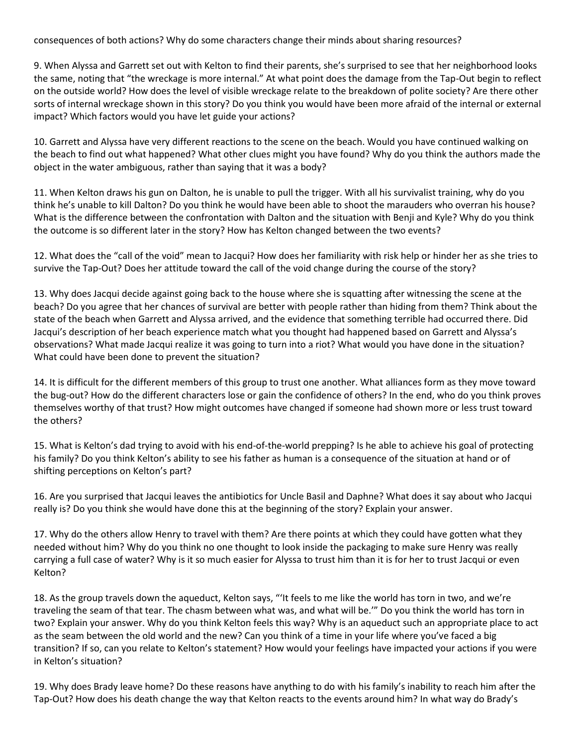consequences of both actions? Why do some characters change their minds about sharing resources?

9. When Alyssa and Garrett set out with Kelton to find their parents, she's surprised to see that her neighborhood looks the same, noting that "the wreckage is more internal." At what point does the damage from the Tap-Out begin to reflect on the outside world? How does the level of visible wreckage relate to the breakdown of polite society? Are there other sorts of internal wreckage shown in this story? Do you think you would have been more afraid of the internal or external impact? Which factors would you have let guide your actions?

10. Garrett and Alyssa have very different reactions to the scene on the beach. Would you have continued walking on the beach to find out what happened? What other clues might you have found? Why do you think the authors made the object in the water ambiguous, rather than saying that it was a body?

11. When Kelton draws his gun on Dalton, he is unable to pull the trigger. With all his survivalist training, why do you think he's unable to kill Dalton? Do you think he would have been able to shoot the marauders who overran his house? What is the difference between the confrontation with Dalton and the situation with Benji and Kyle? Why do you think the outcome is so different later in the story? How has Kelton changed between the two events?

12. What does the "call of the void" mean to Jacqui? How does her familiarity with risk help or hinder her as she tries to survive the Tap-Out? Does her attitude toward the call of the void change during the course of the story?

13. Why does Jacqui decide against going back to the house where she is squatting after witnessing the scene at the beach? Do you agree that her chances of survival are better with people rather than hiding from them? Think about the state of the beach when Garrett and Alyssa arrived, and the evidence that something terrible had occurred there. Did Jacqui's description of her beach experience match what you thought had happened based on Garrett and Alyssa's observations? What made Jacqui realize it was going to turn into a riot? What would you have done in the situation? What could have been done to prevent the situation?

14. It is difficult for the different members of this group to trust one another. What alliances form as they move toward the bug-out? How do the different characters lose or gain the confidence of others? In the end, who do you think proves themselves worthy of that trust? How might outcomes have changed if someone had shown more or less trust toward the others?

15. What is Kelton's dad trying to avoid with his end-of-the-world prepping? Is he able to achieve his goal of protecting his family? Do you think Kelton's ability to see his father as human is a consequence of the situation at hand or of shifting perceptions on Kelton's part?

16. Are you surprised that Jacqui leaves the antibiotics for Uncle Basil and Daphne? What does it say about who Jacqui really is? Do you think she would have done this at the beginning of the story? Explain your answer.

17. Why do the others allow Henry to travel with them? Are there points at which they could have gotten what they needed without him? Why do you think no one thought to look inside the packaging to make sure Henry was really carrying a full case of water? Why is it so much easier for Alyssa to trust him than it is for her to trust Jacqui or even Kelton?

18. As the group travels down the aqueduct, Kelton says, "'It feels to me like the world has torn in two, and we're traveling the seam of that tear. The chasm between what was, and what will be.'" Do you think the world has torn in two? Explain your answer. Why do you think Kelton feels this way? Why is an aqueduct such an appropriate place to act as the seam between the old world and the new? Can you think of a time in your life where you've faced a big transition? If so, can you relate to Kelton's statement? How would your feelings have impacted your actions if you were in Kelton's situation?

19. Why does Brady leave home? Do these reasons have anything to do with his family's inability to reach him after the Tap-Out? How does his death change the way that Kelton reacts to the events around him? In what way do Brady's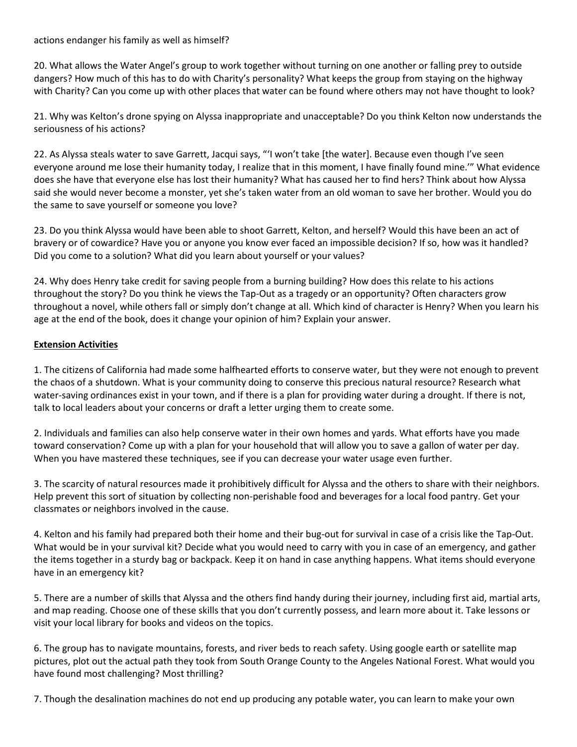actions endanger his family as well as himself?

20. What allows the Water Angel's group to work together without turning on one another or falling prey to outside dangers? How much of this has to do with Charity's personality? What keeps the group from staying on the highway with Charity? Can you come up with other places that water can be found where others may not have thought to look?

21. Why was Kelton's drone spying on Alyssa inappropriate and unacceptable? Do you think Kelton now understands the seriousness of his actions?

22. As Alyssa steals water to save Garrett, Jacqui says, "'I won't take [the water]. Because even though I've seen everyone around me lose their humanity today, I realize that in this moment, I have finally found mine.'" What evidence does she have that everyone else has lost their humanity? What has caused her to find hers? Think about how Alyssa said she would never become a monster, yet she's taken water from an old woman to save her brother. Would you do the same to save yourself or someone you love?

23. Do you think Alyssa would have been able to shoot Garrett, Kelton, and herself? Would this have been an act of bravery or of cowardice? Have you or anyone you know ever faced an impossible decision? If so, how was it handled? Did you come to a solution? What did you learn about yourself or your values?

24. Why does Henry take credit for saving people from a burning building? How does this relate to his actions throughout the story? Do you think he views the Tap-Out as a tragedy or an opportunity? Often characters grow throughout a novel, while others fall or simply don't change at all. Which kind of character is Henry? When you learn his age at the end of the book, does it change your opinion of him? Explain your answer.

#### **Extension Activities**

1. The citizens of California had made some halfhearted efforts to conserve water, but they were not enough to prevent the chaos of a shutdown. What is your community doing to conserve this precious natural resource? Research what water-saving ordinances exist in your town, and if there is a plan for providing water during a drought. If there is not, talk to local leaders about your concerns or draft a letter urging them to create some.

2. Individuals and families can also help conserve water in their own homes and yards. What efforts have you made toward conservation? Come up with a plan for your household that will allow you to save a gallon of water per day. When you have mastered these techniques, see if you can decrease your water usage even further.

3. The scarcity of natural resources made it prohibitively difficult for Alyssa and the others to share with their neighbors. Help prevent this sort of situation by collecting non-perishable food and beverages for a local food pantry. Get your classmates or neighbors involved in the cause.

4. Kelton and his family had prepared both their home and their bug-out for survival in case of a crisis like the Tap-Out. What would be in your survival kit? Decide what you would need to carry with you in case of an emergency, and gather the items together in a sturdy bag or backpack. Keep it on hand in case anything happens. What items should everyone have in an emergency kit?

5. There are a number of skills that Alyssa and the others find handy during their journey, including first aid, martial arts, and map reading. Choose one of these skills that you don't currently possess, and learn more about it. Take lessons or visit your local library for books and videos on the topics.

6. The group has to navigate mountains, forests, and river beds to reach safety. Using google earth or satellite map pictures, plot out the actual path they took from South Orange County to the Angeles National Forest. What would you have found most challenging? Most thrilling?

7. Though the desalination machines do not end up producing any potable water, you can learn to make your own